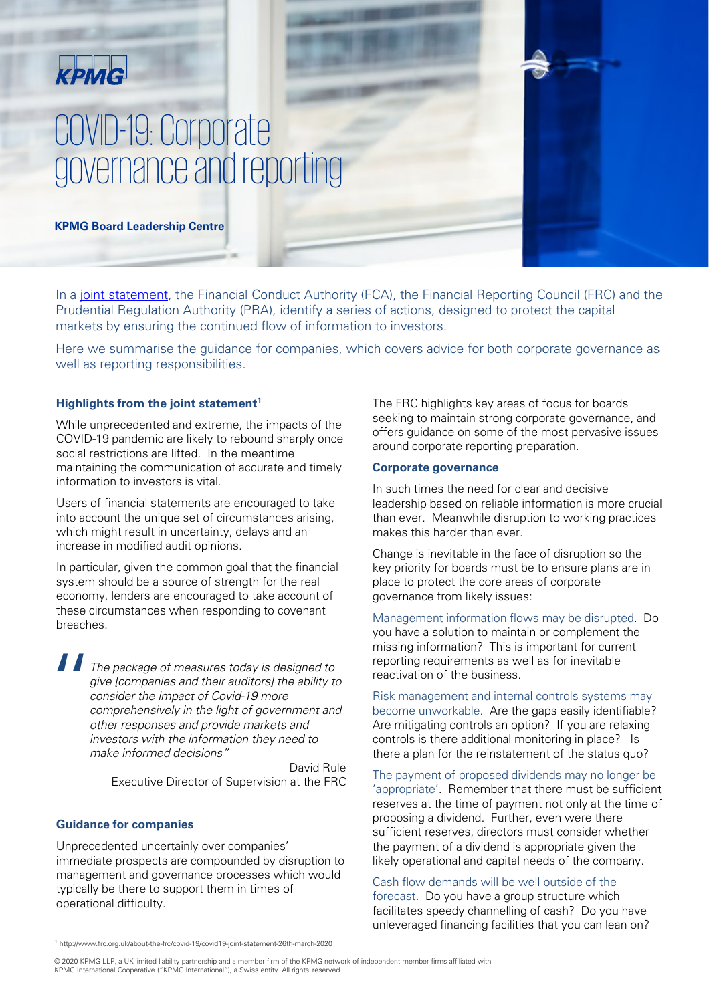## KPMG

# COVID-19: Corporate governance and reporting

**KPMG Board Leadership Centre** 

In a [joint statement](http://www.frc.org.uk/about-the-frc/covid-19/covid19-joint-statement-26th-march-2020), the Financial Conduct Authority (FCA), the Financial Reporting Council (FRC) and the Prudential Regulation Authority (PRA), identify a series of actions, designed to protect the capital markets by ensuring the continued flow of information to investors.

Here we summarise the guidance for companies, which covers advice for both corporate governance as well as reporting responsibilities.

#### **Highlights from the joint statement1**

While unprecedented and extreme, the impacts of the COVID-19 pandemic are likely to rebound sharply once social restrictions are lifted. In the meantime maintaining the communication of accurate and timely information to investors is vital.

Users of financial statements are encouraged to take into account the unique set of circumstances arising, which might result in uncertainty, delays and an increase in modified audit opinions.

In particular, given the common goal that the financial system should be a source of strength for the real economy, lenders are encouraged to take account of these circumstances when responding to covenant breaches.

 $\begin{array}{c} \n\blacksquare \qquad \blacksquare \qquad \blacksquare \qquad \blacksquare \qquad \blacksquare \qquad \blacksquare \qquad \blacksquare \qquad \blacksquare \qquad \blacksquare \qquad \blacksquare \qquad \blacksquare \qquad \blacksquare \qquad \blacksquare \qquad \blacksquare \qquad \blacksquare \qquad \blacksquare \qquad \blacksquare \qquad \blacksquare \qquad \blacksquare \qquad \blacksquare \qquad \blacksquare \qquad \blacksquare \qquad \blacksquare \qquad \blacksquare \qquad \blacksquare \qquad \blacksquare \qquad \blacksquare \qquad \blacksquare \qquad \blacksquare \qquad \blacksquare \qquad \$ The package of measures today is designed to give [companies and their auditors] the ability to consider the impact of Covid-19 more comprehensively in the light of government and other responses and provide markets and investors with the information they need to make informed decisions"

> David Rule Executive Director of Supervision at the FRC

#### **Guidance for companies**

Unprecedented uncertainly over companies' immediate prospects are compounded by disruption to management and governance processes which would typically be there to support them in times of operational difficulty.

The FRC highlights key areas of focus for boards seeking to maintain strong corporate governance, and offers guidance on some of the most pervasive issues around corporate reporting preparation.

#### **Corporate governance**

In such times the need for clear and decisive leadership based on reliable information is more crucial than ever. Meanwhile disruption to working practices makes this harder than ever.

Change is inevitable in the face of disruption so the key priority for boards must be to ensure plans are in place to protect the core areas of corporate governance from likely issues:

Management information flows may be disrupted. Do you have a solution to maintain or complement the missing information? This is important for current reporting requirements as well as for inevitable reactivation of the business.

Risk management and internal controls systems may become unworkable. Are the gaps easily identifiable? Are mitigating controls an option? If you are relaxing controls is there additional monitoring in place? Is there a plan for the reinstatement of the status quo?

The payment of proposed dividends may no longer be 'appropriate'. Remember that there must be sufficient reserves at the time of payment not only at the time of proposing a dividend. Further, even were there sufficient reserves, directors must consider whether the payment of a dividend is appropriate given the likely operational and capital needs of the company.

#### Cash flow demands will be well outside of the forecast. Do you have a group structure which facilitates speedy channelling of cash? Do you have unleveraged financing facilities that you can lean on?

<sup>1</sup> http://www.frc.org.uk/about-the-frc/covid-19/covid19-joint-statement-26th-march-2020

© 2020 KPMG LLP, a UK limited liability partnership and a member firm of the KPMG network of independent member firms affiliated with KPMG International Cooperative ("KPMG International"), a Swiss entity. All rights reserved.